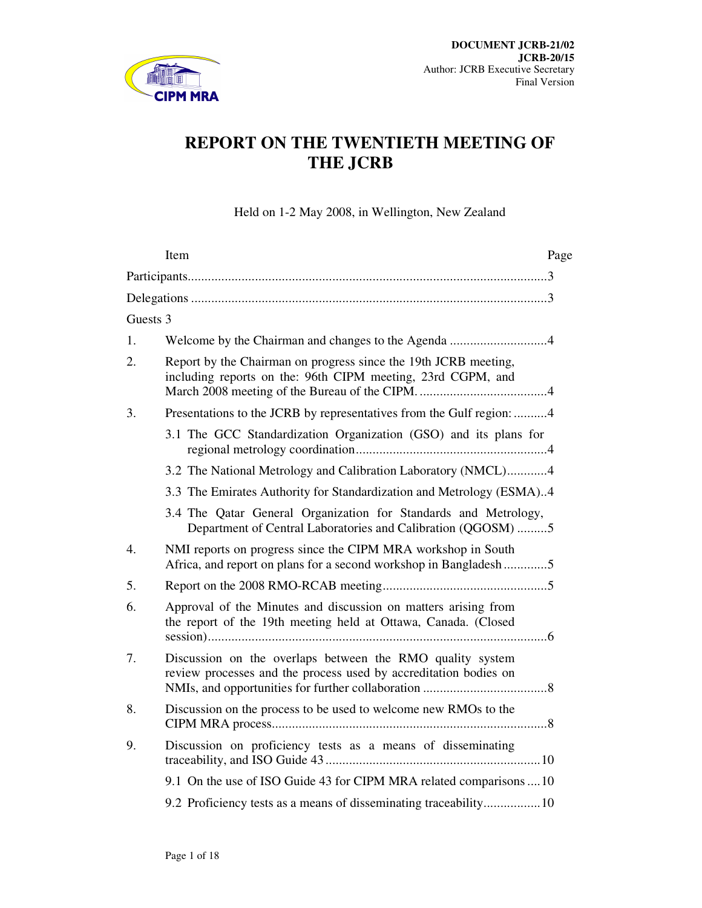

# **REPORT ON THE TWENTIETH MEETING OF THE JCRB**

Held on 1-2 May 2008, in Wellington, New Zealand

|          | Item                                                                                                                             | Page |  |
|----------|----------------------------------------------------------------------------------------------------------------------------------|------|--|
|          |                                                                                                                                  |      |  |
|          |                                                                                                                                  |      |  |
| Guests 3 |                                                                                                                                  |      |  |
| 1.       |                                                                                                                                  |      |  |
| 2.       | Report by the Chairman on progress since the 19th JCRB meeting,<br>including reports on the: 96th CIPM meeting, 23rd CGPM, and   |      |  |
| 3.       | Presentations to the JCRB by representatives from the Gulf region: 4                                                             |      |  |
|          | 3.1 The GCC Standardization Organization (GSO) and its plans for                                                                 |      |  |
|          | 3.2 The National Metrology and Calibration Laboratory (NMCL)4                                                                    |      |  |
|          | 3.3 The Emirates Authority for Standardization and Metrology (ESMA)4                                                             |      |  |
|          | 3.4 The Qatar General Organization for Standards and Metrology,<br>Department of Central Laboratories and Calibration (QGOSM) 5  |      |  |
| 4.       | NMI reports on progress since the CIPM MRA workshop in South<br>Africa, and report on plans for a second workshop in Bangladesh5 |      |  |
| 5.       |                                                                                                                                  |      |  |
| 6.       | Approval of the Minutes and discussion on matters arising from<br>the report of the 19th meeting held at Ottawa, Canada. (Closed |      |  |
| 7.       | Discussion on the overlaps between the RMO quality system<br>review processes and the process used by accreditation bodies on    |      |  |
| 8.       | Discussion on the process to be used to welcome new RMOs to the                                                                  |      |  |
| 9.       | Discussion on proficiency tests as a means of disseminating                                                                      |      |  |
|          | 9.1 On the use of ISO Guide 43 for CIPM MRA related comparisons  10                                                              |      |  |
|          | 9.2 Proficiency tests as a means of disseminating traceability10                                                                 |      |  |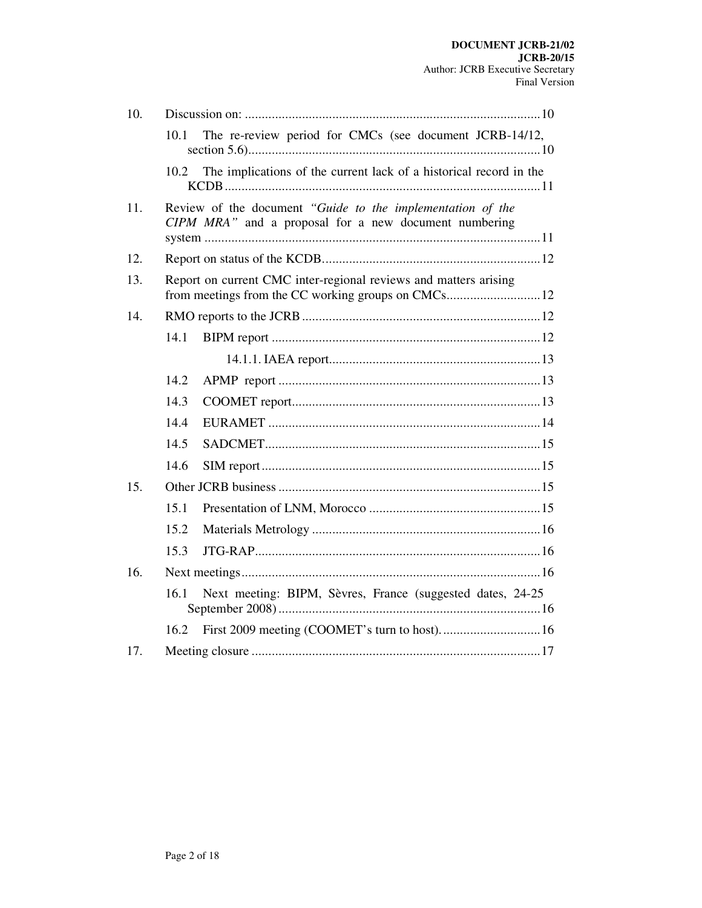| 10. |      |                                                                                                                     |
|-----|------|---------------------------------------------------------------------------------------------------------------------|
|     | 10.1 | The re-review period for CMCs (see document JCRB-14/12,                                                             |
|     | 10.2 | The implications of the current lack of a historical record in the                                                  |
| 11. |      | Review of the document "Guide to the implementation of the<br>CIPM MRA" and a proposal for a new document numbering |
| 12. |      |                                                                                                                     |
| 13. |      | Report on current CMC inter-regional reviews and matters arising                                                    |
| 14. |      |                                                                                                                     |
|     | 14.1 |                                                                                                                     |
|     |      |                                                                                                                     |
|     | 14.2 |                                                                                                                     |
|     | 14.3 |                                                                                                                     |
|     | 14.4 |                                                                                                                     |
|     | 14.5 |                                                                                                                     |
|     | 14.6 |                                                                                                                     |
| 15. |      |                                                                                                                     |
|     | 15.1 |                                                                                                                     |
|     | 15.2 |                                                                                                                     |
|     | 15.3 |                                                                                                                     |
| 16. |      |                                                                                                                     |
|     | 16.1 | Next meeting: BIPM, Sèvres, France (suggested dates, 24-25)                                                         |
|     | 16.2 |                                                                                                                     |
| 17. |      |                                                                                                                     |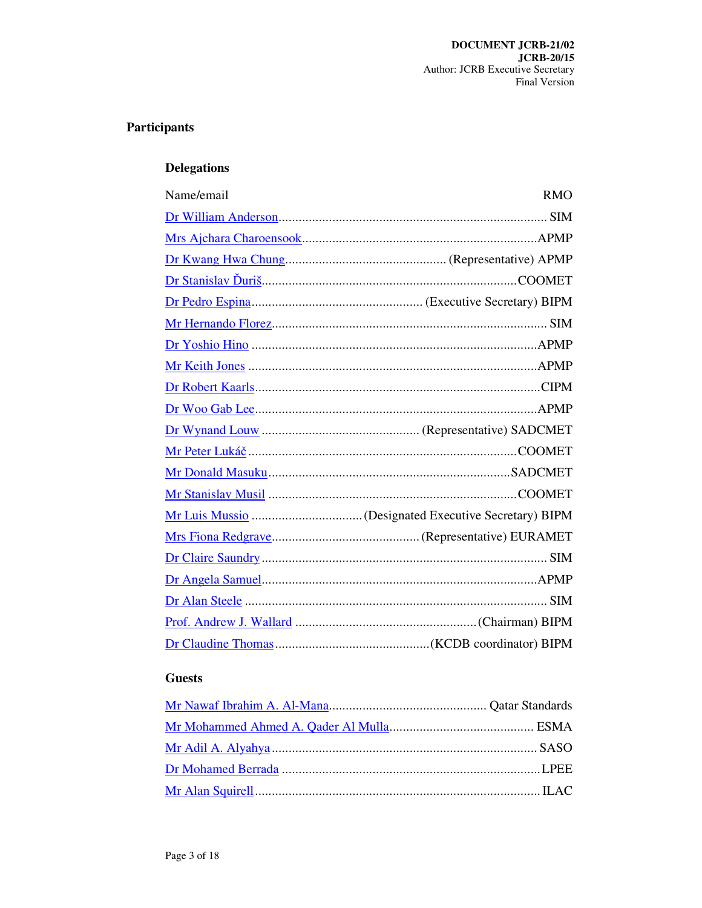# Participants

# **Delegations**

| Name/email | <b>RMO</b> |
|------------|------------|
|            |            |
|            |            |
|            |            |
|            |            |
|            |            |
|            |            |
|            |            |
|            |            |
|            |            |
|            |            |
|            |            |
|            |            |
|            |            |
|            |            |
|            |            |
|            |            |
|            |            |
|            |            |
|            |            |
|            |            |
|            |            |

# **Guests**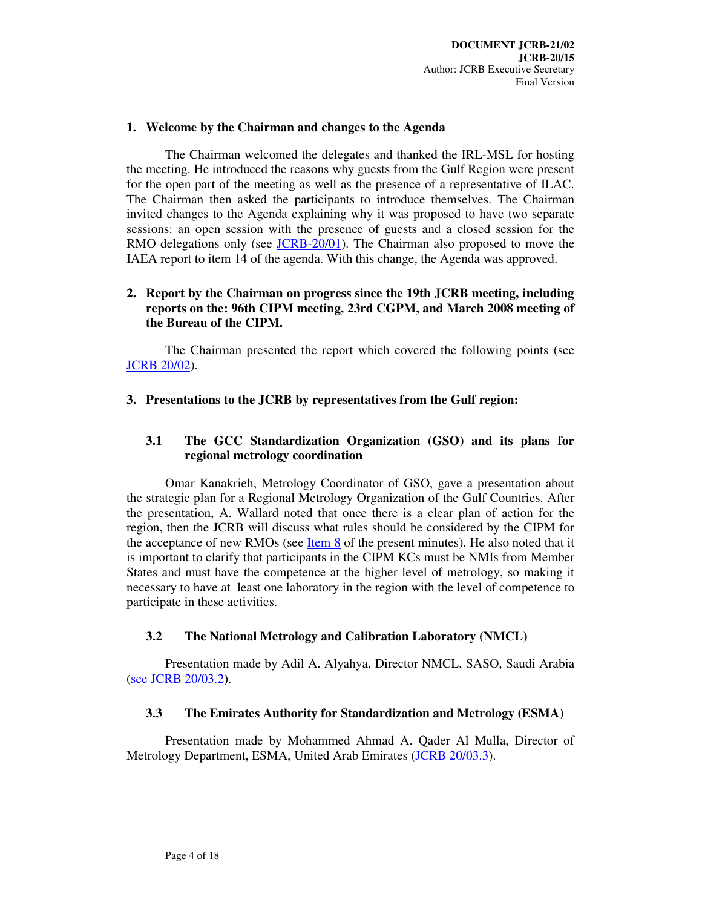### **1. Welcome by the Chairman and changes to the Agenda**

The Chairman welcomed the delegates and thanked the IRL-MSL for hosting the meeting. He introduced the reasons why guests from the Gulf Region were present for the open part of the meeting as well as the presence of a representative of ILAC. The Chairman then asked the participants to introduce themselves. The Chairman invited changes to the Agenda explaining why it was proposed to have two separate sessions: an open session with the presence of guests and a closed session for the RMO delegations only (see JCRB-20/01). The Chairman also proposed to move the IAEA report to item 14 of the agenda. With this change, the Agenda was approved.

# **2. Report by the Chairman on progress since the 19th JCRB meeting, including reports on the: 96th CIPM meeting, 23rd CGPM, and March 2008 meeting of the Bureau of the CIPM.**

The Chairman presented the report which covered the following points (see JCRB 20/02).

# **3. Presentations to the JCRB by representatives from the Gulf region:**

# **3.1 The GCC Standardization Organization (GSO) and its plans for regional metrology coordination**

Omar Kanakrieh, Metrology Coordinator of GSO, gave a presentation about the strategic plan for a Regional Metrology Organization of the Gulf Countries. After the presentation, A. Wallard noted that once there is a clear plan of action for the region, then the JCRB will discuss what rules should be considered by the CIPM for the acceptance of new RMOs (see  $Item 8$  of the present minutes). He also noted that it</u> is important to clarify that participants in the CIPM KCs must be NMIs from Member States and must have the competence at the higher level of metrology, so making it necessary to have at least one laboratory in the region with the level of competence to participate in these activities.

# **3.2 The National Metrology and Calibration Laboratory (NMCL)**

Presentation made by Adil A. Alyahya, Director NMCL, SASO, Saudi Arabia (see JCRB 20/03.2).

#### **3.3 The Emirates Authority for Standardization and Metrology (ESMA)**

Presentation made by Mohammed Ahmad A. Qader Al Mulla, Director of Metrology Department, ESMA, United Arab Emirates (JCRB 20/03.3).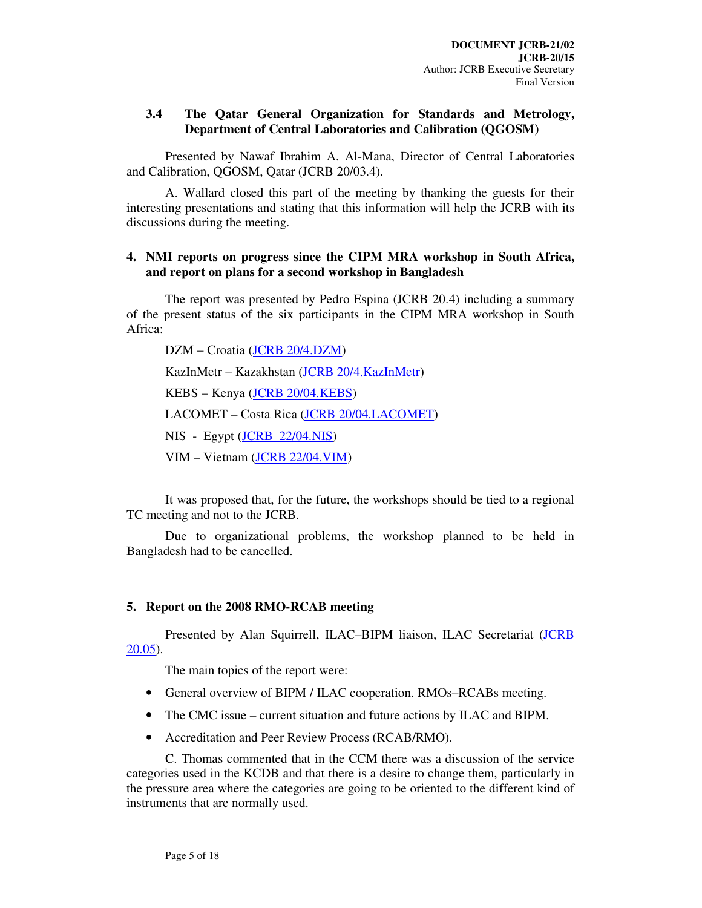# **3.4 The Qatar General Organization for Standards and Metrology, Department of Central Laboratories and Calibration (QGOSM)**

Presented by Nawaf Ibrahim A. Al-Mana, Director of Central Laboratories and Calibration, QGOSM, Qatar (JCRB 20/03.4).

A. Wallard closed this part of the meeting by thanking the guests for their interesting presentations and stating that this information will help the JCRB with its discussions during the meeting.

### **4. NMI reports on progress since the CIPM MRA workshop in South Africa, and report on plans for a second workshop in Bangladesh**

The report was presented by Pedro Espina (JCRB 20.4) including a summary of the present status of the six participants in the CIPM MRA workshop in South Africa:

DZM – Croatia (JCRB 20/4.DZM) KazInMetr – Kazakhstan (JCRB 20/4.KazInMetr) KEBS – Kenya (JCRB 20/04.KEBS) LACOMET – Costa Rica (JCRB 20/04.LACOMET) NIS - Egypt (JCRB 22/04.NIS) VIM – Vietnam (JCRB 22/04.VIM)

It was proposed that, for the future, the workshops should be tied to a regional TC meeting and not to the JCRB.

Due to organizational problems, the workshop planned to be held in Bangladesh had to be cancelled.

# **5. Report on the 2008 RMO-RCAB meeting**

Presented by Alan Squirrell, ILAC–BIPM liaison, ILAC Secretariat (JCRB 20.05).

The main topics of the report were:

- General overview of BIPM / ILAC cooperation. RMOs–RCABs meeting.
- The CMC issue current situation and future actions by ILAC and BIPM.
- Accreditation and Peer Review Process (RCAB/RMO).

C. Thomas commented that in the CCM there was a discussion of the service categories used in the KCDB and that there is a desire to change them, particularly in the pressure area where the categories are going to be oriented to the different kind of instruments that are normally used.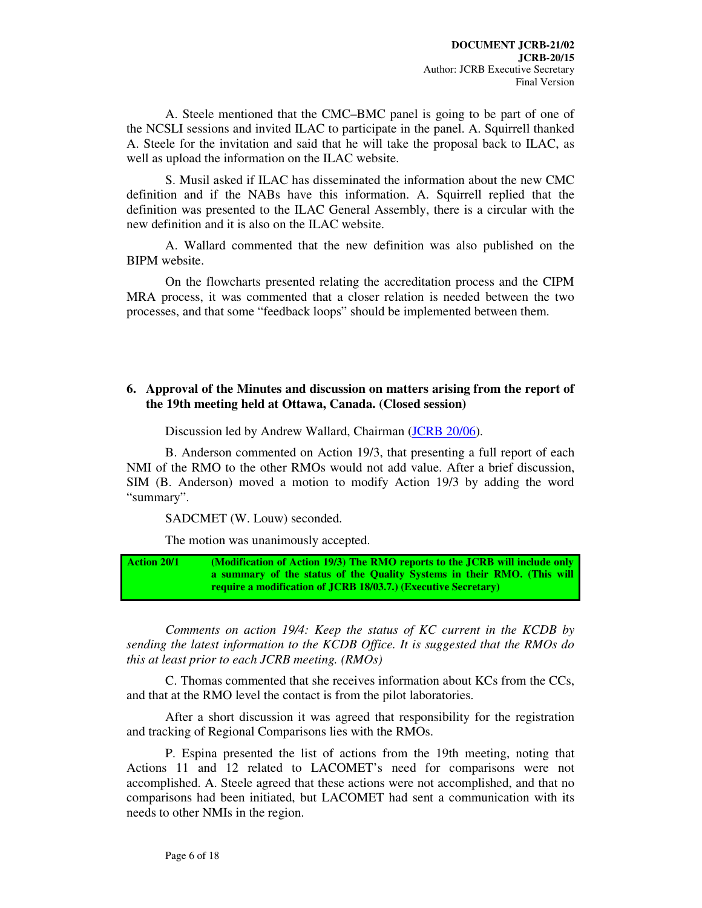A. Steele mentioned that the CMC–BMC panel is going to be part of one of the NCSLI sessions and invited ILAC to participate in the panel. A. Squirrell thanked A. Steele for the invitation and said that he will take the proposal back to ILAC, as well as upload the information on the ILAC website.

S. Musil asked if ILAC has disseminated the information about the new CMC definition and if the NABs have this information. A. Squirrell replied that the definition was presented to the ILAC General Assembly, there is a circular with the new definition and it is also on the ILAC website.

A. Wallard commented that the new definition was also published on the BIPM website.

On the flowcharts presented relating the accreditation process and the CIPM MRA process, it was commented that a closer relation is needed between the two processes, and that some "feedback loops" should be implemented between them.

# **6. Approval of the Minutes and discussion on matters arising from the report of the 19th meeting held at Ottawa, Canada. (Closed session)**

Discussion led by Andrew Wallard, Chairman (JCRB 20/06).

B. Anderson commented on Action 19/3, that presenting a full report of each NMI of the RMO to the other RMOs would not add value. After a brief discussion, SIM (B. Anderson) moved a motion to modify Action 19/3 by adding the word "summary".

SADCMET (W. Louw) seconded.

The motion was unanimously accepted.

**Action 20/1 (Modification of Action 19/3) The RMO reports to the JCRB will include only a summary of the status of the Quality Systems in their RMO. (This will require a modification of JCRB 18/03.7.) (Executive Secretary)** 

*Comments on action 19/4: Keep the status of KC current in the KCDB by sending the latest information to the KCDB Office. It is suggested that the RMOs do this at least prior to each JCRB meeting. (RMOs)* 

C. Thomas commented that she receives information about KCs from the CCs, and that at the RMO level the contact is from the pilot laboratories.

After a short discussion it was agreed that responsibility for the registration and tracking of Regional Comparisons lies with the RMOs.

P. Espina presented the list of actions from the 19th meeting, noting that Actions 11 and 12 related to LACOMET's need for comparisons were not accomplished. A. Steele agreed that these actions were not accomplished, and that no comparisons had been initiated, but LACOMET had sent a communication with its needs to other NMIs in the region.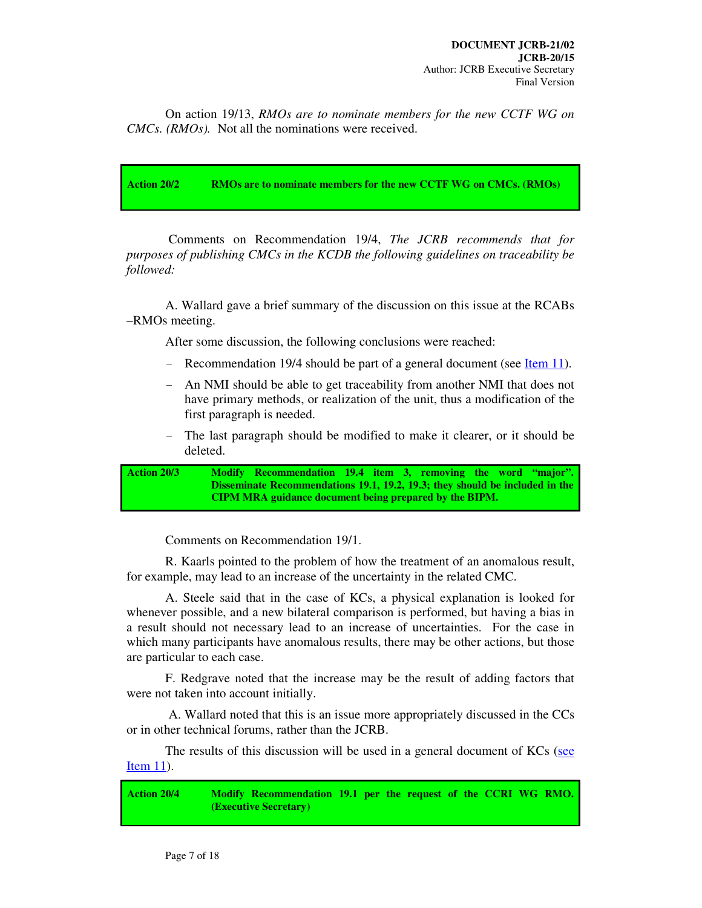On action 19/13, *RMOs are to nominate members for the new CCTF WG on CMCs. (RMOs).* Not all the nominations were received.

**Action 20/2 RMOs are to nominate members for the new CCTF WG on CMCs. (RMOs)** 

 Comments on Recommendation 19/4, *The JCRB recommends that for purposes of publishing CMCs in the KCDB the following guidelines on traceability be followed:*

A. Wallard gave a brief summary of the discussion on this issue at the RCABs –RMOs meeting.

After some discussion, the following conclusions were reached:

- Recommendation 19/4 should be part of a general document (see Item 11).
- An NMI should be able to get traceability from another NMI that does not have primary methods, or realization of the unit, thus a modification of the first paragraph is needed.
- The last paragraph should be modified to make it clearer, or it should be deleted.

```
Action 20/3 Modify Recommendation 19.4 item 3, removing the word "major". 
   Disseminate Recommendations 19.1, 19.2, 19.3; they should be included in the 
   CIPM MRA guidance document being prepared by the BIPM.
```
Comments on Recommendation 19/1.

R. Kaarls pointed to the problem of how the treatment of an anomalous result, for example, may lead to an increase of the uncertainty in the related CMC.

A. Steele said that in the case of KCs, a physical explanation is looked for whenever possible, and a new bilateral comparison is performed, but having a bias in a result should not necessary lead to an increase of uncertainties. For the case in which many participants have anomalous results, there may be other actions, but those are particular to each case.

F. Redgrave noted that the increase may be the result of adding factors that were not taken into account initially.

 A. Wallard noted that this is an issue more appropriately discussed in the CCs or in other technical forums, rather than the JCRB.

The results of this discussion will be used in a general document of KCs (see Item 11).

**Action 20/4 Modify Recommendation 19.1 per the request of the CCRI WG RMO. (Executive Secretary)**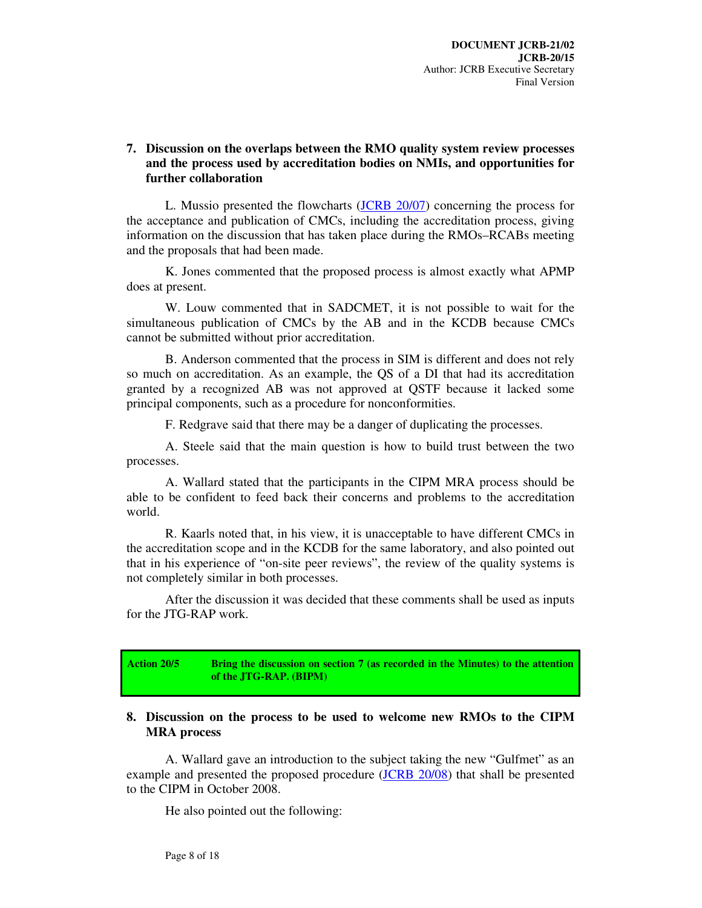# **7. Discussion on the overlaps between the RMO quality system review processes and the process used by accreditation bodies on NMIs, and opportunities for further collaboration**

L. Mussio presented the flowcharts (JCRB 20/07) concerning the process for the acceptance and publication of CMCs, including the accreditation process, giving information on the discussion that has taken place during the RMOs–RCABs meeting and the proposals that had been made.

K. Jones commented that the proposed process is almost exactly what APMP does at present.

W. Louw commented that in SADCMET, it is not possible to wait for the simultaneous publication of CMCs by the AB and in the KCDB because CMCs cannot be submitted without prior accreditation.

B. Anderson commented that the process in SIM is different and does not rely so much on accreditation. As an example, the QS of a DI that had its accreditation granted by a recognized AB was not approved at QSTF because it lacked some principal components, such as a procedure for nonconformities.

F. Redgrave said that there may be a danger of duplicating the processes.

A. Steele said that the main question is how to build trust between the two processes.

A. Wallard stated that the participants in the CIPM MRA process should be able to be confident to feed back their concerns and problems to the accreditation world.

R. Kaarls noted that, in his view, it is unacceptable to have different CMCs in the accreditation scope and in the KCDB for the same laboratory, and also pointed out that in his experience of "on-site peer reviews", the review of the quality systems is not completely similar in both processes.

After the discussion it was decided that these comments shall be used as inputs for the JTG-RAP work.

**Action 20/5 Bring the discussion on section 7 (as recorded in the Minutes) to the attention of the JTG-RAP. (BIPM)** 

#### **8. Discussion on the process to be used to welcome new RMOs to the CIPM MRA process**

A. Wallard gave an introduction to the subject taking the new "Gulfmet" as an example and presented the proposed procedure (JCRB 20/08) that shall be presented to the CIPM in October 2008.

He also pointed out the following: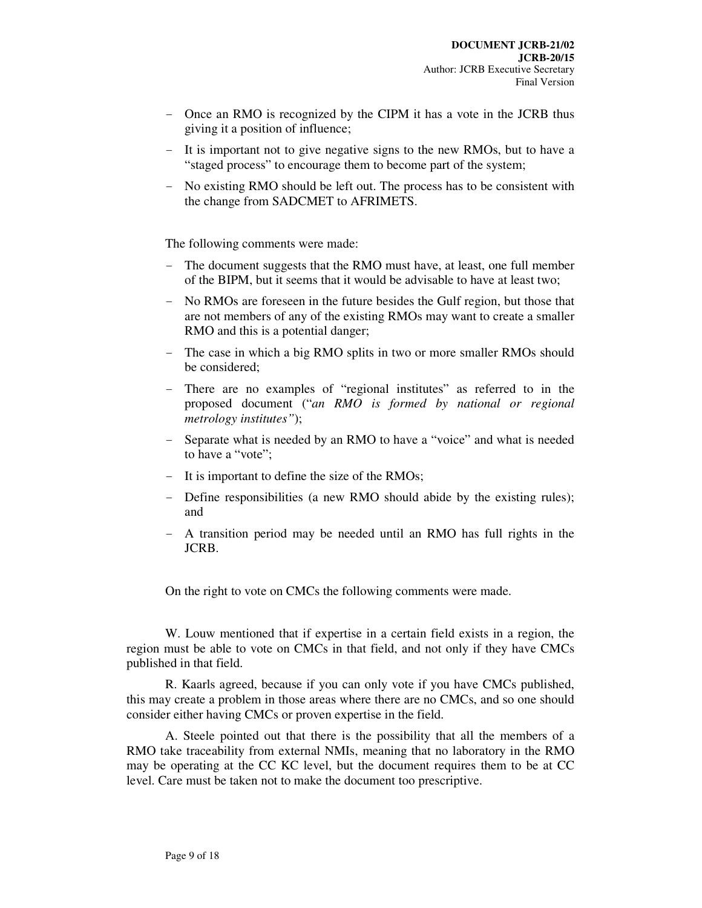- Once an RMO is recognized by the CIPM it has a vote in the JCRB thus giving it a position of influence;
- It is important not to give negative signs to the new RMOs, but to have a "staged process" to encourage them to become part of the system;
- No existing RMO should be left out. The process has to be consistent with the change from SADCMET to AFRIMETS.

The following comments were made:

- The document suggests that the RMO must have, at least, one full member of the BIPM, but it seems that it would be advisable to have at least two;
- No RMOs are foreseen in the future besides the Gulf region, but those that are not members of any of the existing RMOs may want to create a smaller RMO and this is a potential danger;
- The case in which a big RMO splits in two or more smaller RMOs should be considered;
- There are no examples of "regional institutes" as referred to in the proposed document ("*an RMO is formed by national or regional metrology institutes"*);
- Separate what is needed by an RMO to have a "voice" and what is needed to have a "vote";
- It is important to define the size of the RMOs;
- Define responsibilities (a new RMO should abide by the existing rules); and
- A transition period may be needed until an RMO has full rights in the JCRB.

On the right to vote on CMCs the following comments were made.

W. Louw mentioned that if expertise in a certain field exists in a region, the region must be able to vote on CMCs in that field, and not only if they have CMCs published in that field.

R. Kaarls agreed, because if you can only vote if you have CMCs published, this may create a problem in those areas where there are no CMCs, and so one should consider either having CMCs or proven expertise in the field.

A. Steele pointed out that there is the possibility that all the members of a RMO take traceability from external NMIs, meaning that no laboratory in the RMO may be operating at the CC KC level, but the document requires them to be at CC level. Care must be taken not to make the document too prescriptive.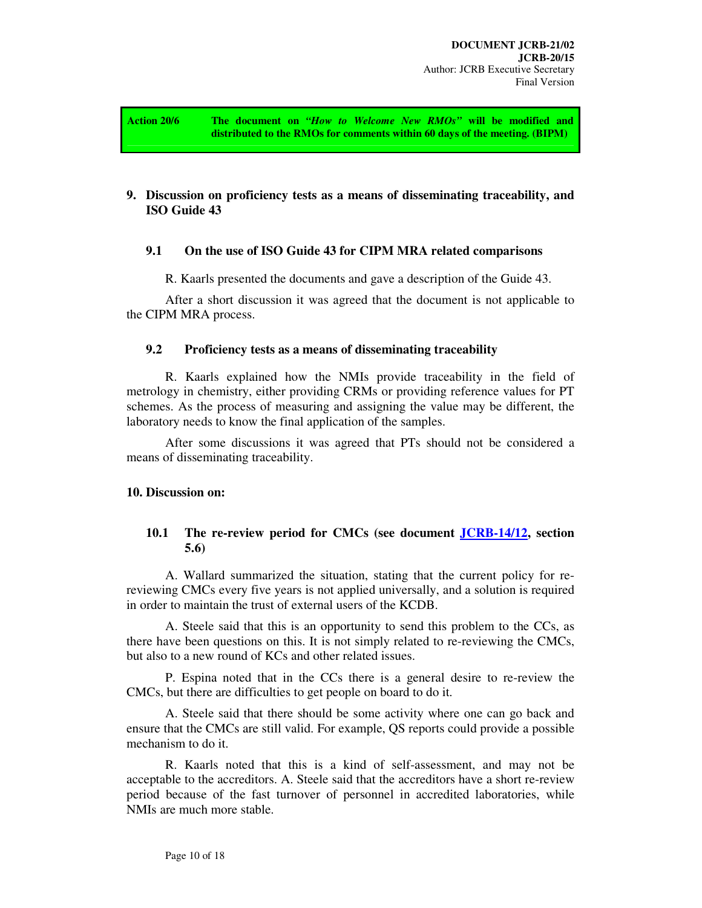**Action 20/6 The document on** *"How to Welcome New RMOs"* **will be modified and distributed to the RMOs for comments within 60 days of the meeting. (BIPM)** 

# **9. Discussion on proficiency tests as a means of disseminating traceability, and ISO Guide 43**

#### **9.1 On the use of ISO Guide 43 for CIPM MRA related comparisons**

R. Kaarls presented the documents and gave a description of the Guide 43.

After a short discussion it was agreed that the document is not applicable to the CIPM MRA process.

#### **9.2 Proficiency tests as a means of disseminating traceability**

R. Kaarls explained how the NMIs provide traceability in the field of metrology in chemistry, either providing CRMs or providing reference values for PT schemes. As the process of measuring and assigning the value may be different, the laboratory needs to know the final application of the samples.

After some discussions it was agreed that PTs should not be considered a means of disseminating traceability.

#### **10. Discussion on:**

# **10.1 The re-review period for CMCs (see document JCRB-14/12, section 5.6)**

A. Wallard summarized the situation, stating that the current policy for rereviewing CMCs every five years is not applied universally, and a solution is required in order to maintain the trust of external users of the KCDB.

A. Steele said that this is an opportunity to send this problem to the CCs, as there have been questions on this. It is not simply related to re-reviewing the CMCs, but also to a new round of KCs and other related issues.

P. Espina noted that in the CCs there is a general desire to re-review the CMCs, but there are difficulties to get people on board to do it.

A. Steele said that there should be some activity where one can go back and ensure that the CMCs are still valid. For example, QS reports could provide a possible mechanism to do it.

R. Kaarls noted that this is a kind of self-assessment, and may not be acceptable to the accreditors. A. Steele said that the accreditors have a short re-review period because of the fast turnover of personnel in accredited laboratories, while NMIs are much more stable.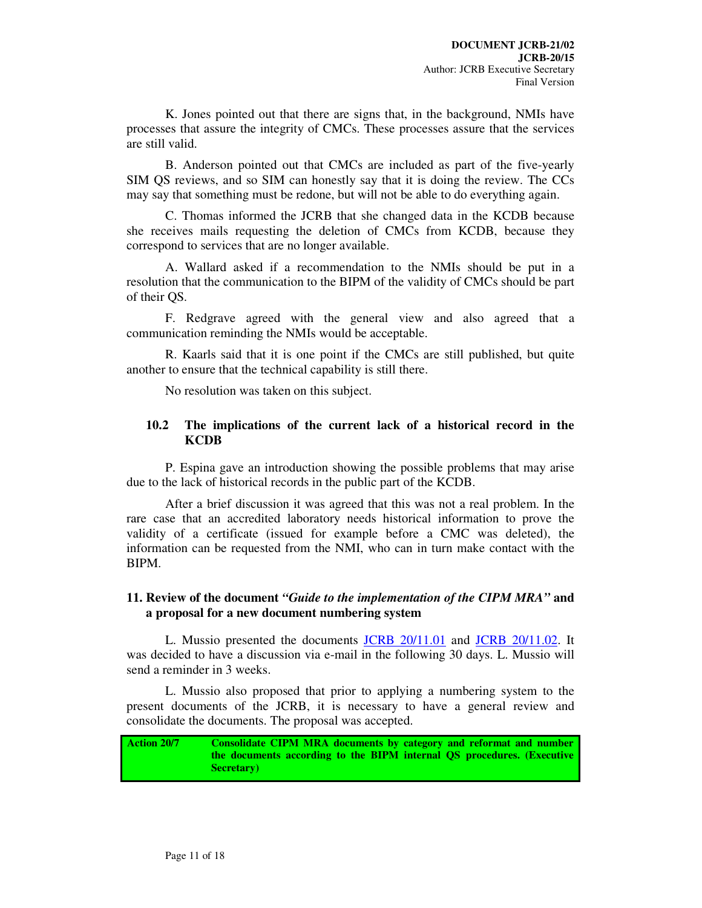K. Jones pointed out that there are signs that, in the background, NMIs have processes that assure the integrity of CMCs. These processes assure that the services are still valid.

B. Anderson pointed out that CMCs are included as part of the five-yearly SIM QS reviews, and so SIM can honestly say that it is doing the review. The CCs may say that something must be redone, but will not be able to do everything again.

C. Thomas informed the JCRB that she changed data in the KCDB because she receives mails requesting the deletion of CMCs from KCDB, because they correspond to services that are no longer available.

A. Wallard asked if a recommendation to the NMIs should be put in a resolution that the communication to the BIPM of the validity of CMCs should be part of their QS.

F. Redgrave agreed with the general view and also agreed that a communication reminding the NMIs would be acceptable.

R. Kaarls said that it is one point if the CMCs are still published, but quite another to ensure that the technical capability is still there.

No resolution was taken on this subject.

### **10.2 The implications of the current lack of a historical record in the KCDB**

P. Espina gave an introduction showing the possible problems that may arise due to the lack of historical records in the public part of the KCDB.

After a brief discussion it was agreed that this was not a real problem. In the rare case that an accredited laboratory needs historical information to prove the validity of a certificate (issued for example before a CMC was deleted), the information can be requested from the NMI, who can in turn make contact with the BIPM.

# **11. Review of the document** *"Guide to the implementation of the CIPM MRA"* **and a proposal for a new document numbering system**

L. Mussio presented the documents JCRB 20/11.01 and JCRB 20/11.02. It was decided to have a discussion via e-mail in the following 30 days. L. Mussio will send a reminder in 3 weeks.

L. Mussio also proposed that prior to applying a numbering system to the present documents of the JCRB, it is necessary to have a general review and consolidate the documents. The proposal was accepted.

**Action 20/7 Consolidate CIPM MRA documents by category and reformat and number the documents according to the BIPM internal QS procedures. (Executive Secretary)**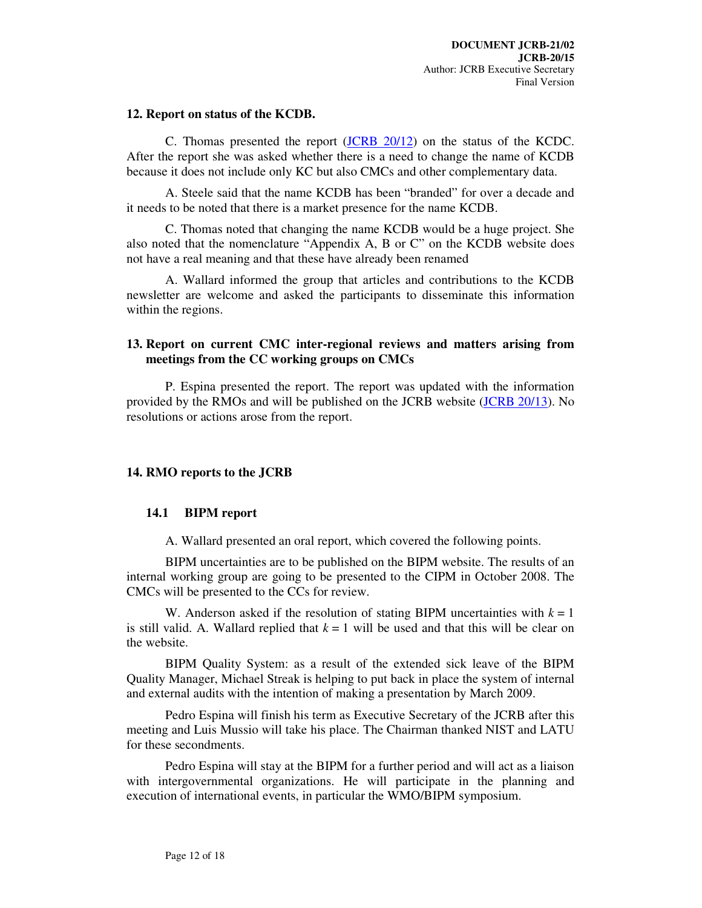#### **12. Report on status of the KCDB.**

C. Thomas presented the report (JCRB 20/12) on the status of the KCDC. After the report she was asked whether there is a need to change the name of KCDB because it does not include only KC but also CMCs and other complementary data.

A. Steele said that the name KCDB has been "branded" for over a decade and it needs to be noted that there is a market presence for the name KCDB.

C. Thomas noted that changing the name KCDB would be a huge project. She also noted that the nomenclature "Appendix A, B or C" on the KCDB website does not have a real meaning and that these have already been renamed

A. Wallard informed the group that articles and contributions to the KCDB newsletter are welcome and asked the participants to disseminate this information within the regions.

# **13. Report on current CMC inter-regional reviews and matters arising from meetings from the CC working groups on CMCs**

P. Espina presented the report. The report was updated with the information provided by the RMOs and will be published on the JCRB website (JCRB 20/13). No resolutions or actions arose from the report.

# **14. RMO reports to the JCRB**

#### **14.1 BIPM report**

A. Wallard presented an oral report, which covered the following points.

BIPM uncertainties are to be published on the BIPM website. The results of an internal working group are going to be presented to the CIPM in October 2008. The CMCs will be presented to the CCs for review.

W. Anderson asked if the resolution of stating BIPM uncertainties with  $k = 1$ is still valid. A. Wallard replied that  $k = 1$  will be used and that this will be clear on the website.

BIPM Quality System: as a result of the extended sick leave of the BIPM Quality Manager, Michael Streak is helping to put back in place the system of internal and external audits with the intention of making a presentation by March 2009.

Pedro Espina will finish his term as Executive Secretary of the JCRB after this meeting and Luis Mussio will take his place. The Chairman thanked NIST and LATU for these secondments.

Pedro Espina will stay at the BIPM for a further period and will act as a liaison with intergovernmental organizations. He will participate in the planning and execution of international events, in particular the WMO/BIPM symposium.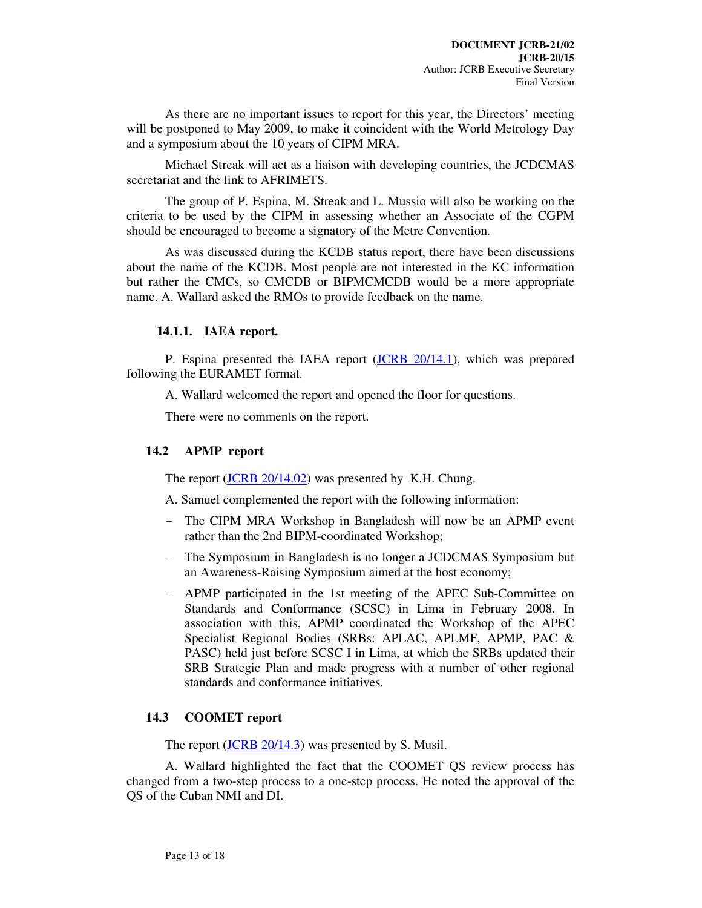As there are no important issues to report for this year, the Directors' meeting will be postponed to May 2009, to make it coincident with the World Metrology Day and a symposium about the 10 years of CIPM MRA.

Michael Streak will act as a liaison with developing countries, the JCDCMAS secretariat and the link to AFRIMETS.

The group of P. Espina, M. Streak and L. Mussio will also be working on the criteria to be used by the CIPM in assessing whether an Associate of the CGPM should be encouraged to become a signatory of the Metre Convention.

As was discussed during the KCDB status report, there have been discussions about the name of the KCDB. Most people are not interested in the KC information but rather the CMCs, so CMCDB or BIPMCMCDB would be a more appropriate name. A. Wallard asked the RMOs to provide feedback on the name.

#### **14.1.1. IAEA report.**

P. Espina presented the IAEA report (JCRB 20/14.1), which was prepared following the EURAMET format.

A. Wallard welcomed the report and opened the floor for questions.

There were no comments on the report.

# **14.2 APMP report**

The report (JCRB 20/14.02) was presented by K.H. Chung.

A. Samuel complemented the report with the following information:

- The CIPM MRA Workshop in Bangladesh will now be an APMP event rather than the 2nd BIPM-coordinated Workshop;
- The Symposium in Bangladesh is no longer a JCDCMAS Symposium but an Awareness-Raising Symposium aimed at the host economy;
- APMP participated in the 1st meeting of the APEC Sub-Committee on Standards and Conformance (SCSC) in Lima in February 2008. In association with this, APMP coordinated the Workshop of the APEC Specialist Regional Bodies (SRBs: APLAC, APLMF, APMP, PAC & PASC) held just before SCSC I in Lima, at which the SRBs updated their SRB Strategic Plan and made progress with a number of other regional standards and conformance initiatives.

# **14.3 COOMET report**

The report (JCRB 20/14.3) was presented by S. Musil.

A. Wallard highlighted the fact that the COOMET QS review process has changed from a two-step process to a one-step process. He noted the approval of the QS of the Cuban NMI and DI.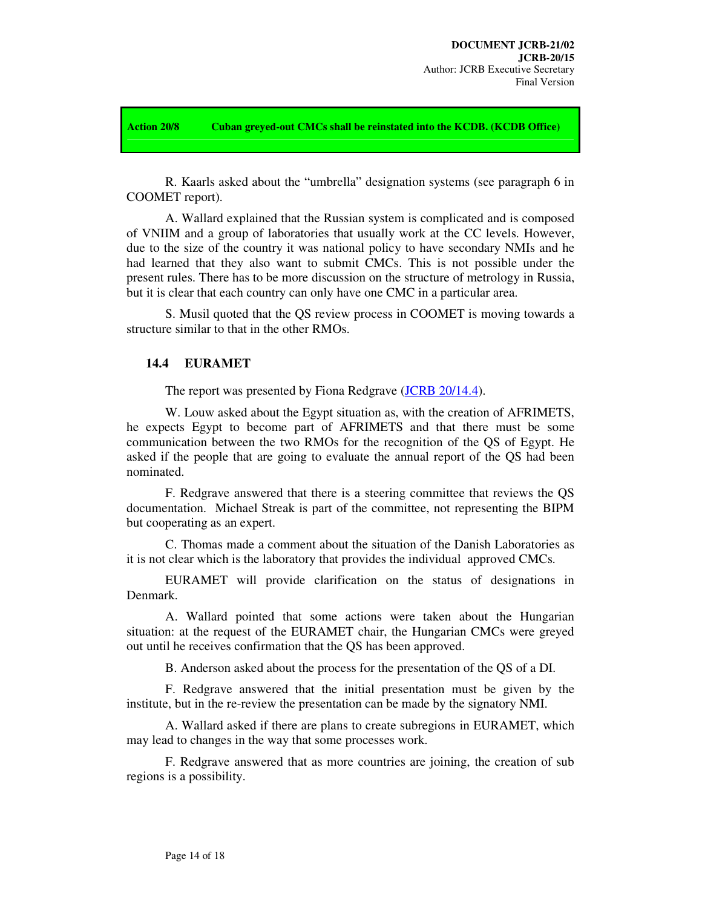**Action 20/8 Cuban greyed-out CMCs shall be reinstated into the KCDB. (KCDB Office)** 

R. Kaarls asked about the "umbrella" designation systems (see paragraph 6 in COOMET report).

A. Wallard explained that the Russian system is complicated and is composed of VNIIM and a group of laboratories that usually work at the CC levels. However, due to the size of the country it was national policy to have secondary NMIs and he had learned that they also want to submit CMCs. This is not possible under the present rules. There has to be more discussion on the structure of metrology in Russia, but it is clear that each country can only have one CMC in a particular area.

S. Musil quoted that the QS review process in COOMET is moving towards a structure similar to that in the other RMOs.

#### **14.4 EURAMET**

The report was presented by Fiona Redgrave (JCRB 20/14.4).

W. Louw asked about the Egypt situation as, with the creation of AFRIMETS, he expects Egypt to become part of AFRIMETS and that there must be some communication between the two RMOs for the recognition of the QS of Egypt. He asked if the people that are going to evaluate the annual report of the QS had been nominated.

F. Redgrave answered that there is a steering committee that reviews the QS documentation. Michael Streak is part of the committee, not representing the BIPM but cooperating as an expert.

C. Thomas made a comment about the situation of the Danish Laboratories as it is not clear which is the laboratory that provides the individual approved CMCs.

EURAMET will provide clarification on the status of designations in Denmark.

A. Wallard pointed that some actions were taken about the Hungarian situation: at the request of the EURAMET chair, the Hungarian CMCs were greyed out until he receives confirmation that the QS has been approved.

B. Anderson asked about the process for the presentation of the QS of a DI.

F. Redgrave answered that the initial presentation must be given by the institute, but in the re-review the presentation can be made by the signatory NMI.

A. Wallard asked if there are plans to create subregions in EURAMET, which may lead to changes in the way that some processes work.

F. Redgrave answered that as more countries are joining, the creation of sub regions is a possibility.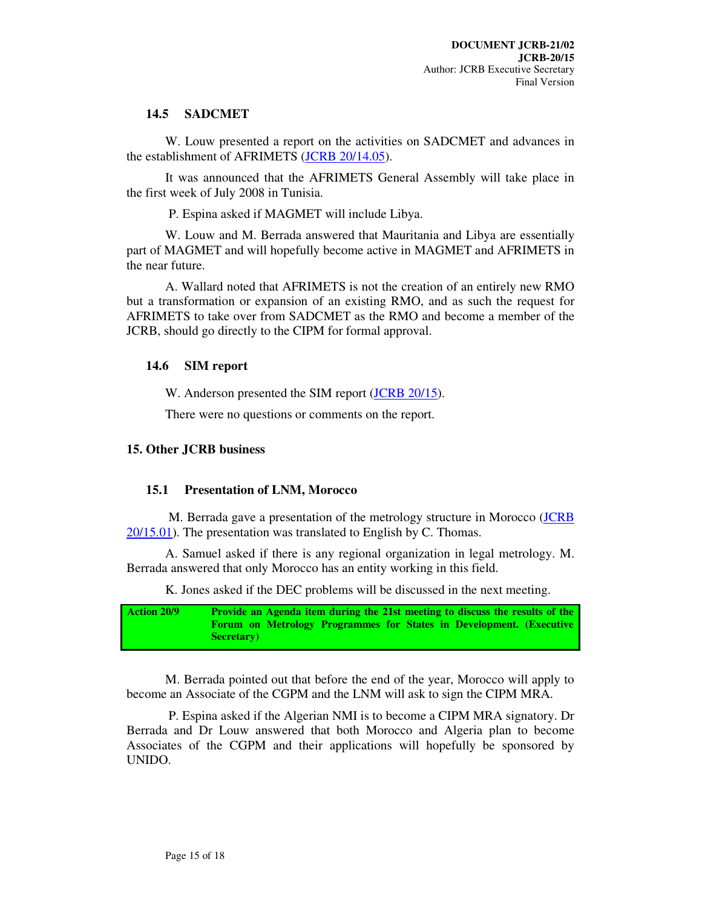# **14.5 SADCMET**

W. Louw presented a report on the activities on SADCMET and advances in the establishment of AFRIMETS (JCRB 20/14.05).

It was announced that the AFRIMETS General Assembly will take place in the first week of July 2008 in Tunisia.

P. Espina asked if MAGMET will include Libya.

W. Louw and M. Berrada answered that Mauritania and Libya are essentially part of MAGMET and will hopefully become active in MAGMET and AFRIMETS in the near future.

A. Wallard noted that AFRIMETS is not the creation of an entirely new RMO but a transformation or expansion of an existing RMO, and as such the request for AFRIMETS to take over from SADCMET as the RMO and become a member of the JCRB, should go directly to the CIPM for formal approval.

# **14.6 SIM report**

W. Anderson presented the SIM report (JCRB 20/15).

There were no questions or comments on the report.

# **15. Other JCRB business**

# **15.1 Presentation of LNM, Morocco**

 M. Berrada gave a presentation of the metrology structure in Morocco (JCRB 20/15.01). The presentation was translated to English by C. Thomas.

A. Samuel asked if there is any regional organization in legal metrology. M. Berrada answered that only Morocco has an entity working in this field.

K. Jones asked if the DEC problems will be discussed in the next meeting.

**Action 20/9 Provide an Agenda item during the 21st meeting to discuss the results of the Forum on Metrology Programmes for States in Development. (Executive Secretary)** 

M. Berrada pointed out that before the end of the year, Morocco will apply to become an Associate of the CGPM and the LNM will ask to sign the CIPM MRA.

 P. Espina asked if the Algerian NMI is to become a CIPM MRA signatory. Dr Berrada and Dr Louw answered that both Morocco and Algeria plan to become Associates of the CGPM and their applications will hopefully be sponsored by UNIDO.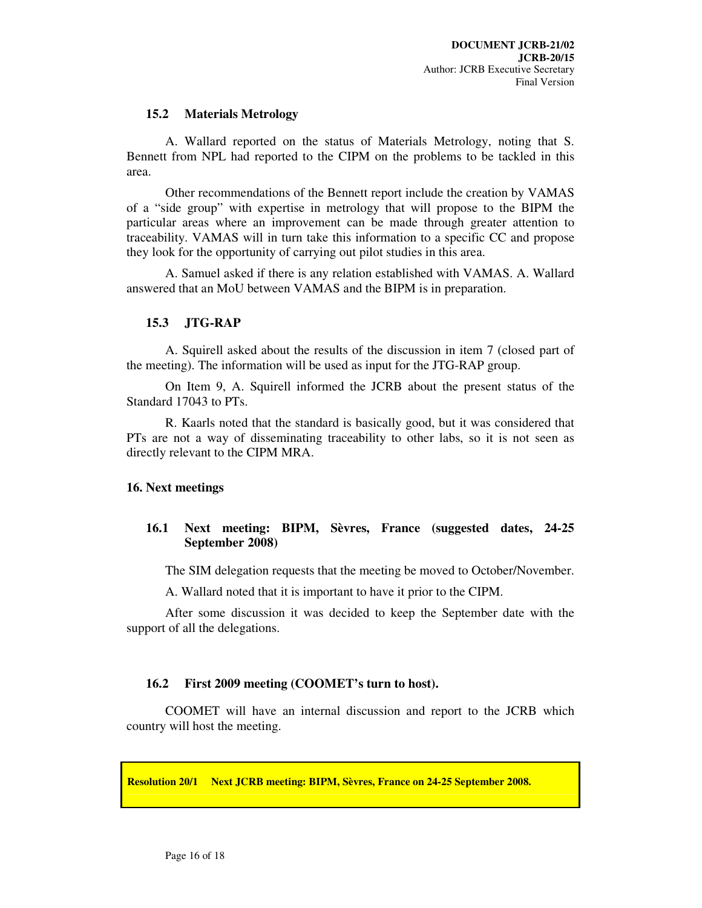#### **15.2 Materials Metrology**

A. Wallard reported on the status of Materials Metrology, noting that S. Bennett from NPL had reported to the CIPM on the problems to be tackled in this area.

Other recommendations of the Bennett report include the creation by VAMAS of a "side group" with expertise in metrology that will propose to the BIPM the particular areas where an improvement can be made through greater attention to traceability. VAMAS will in turn take this information to a specific CC and propose they look for the opportunity of carrying out pilot studies in this area.

A. Samuel asked if there is any relation established with VAMAS. A. Wallard answered that an MoU between VAMAS and the BIPM is in preparation.

#### **15.3 JTG-RAP**

A. Squirell asked about the results of the discussion in item 7 (closed part of the meeting). The information will be used as input for the JTG-RAP group.

On Item 9, A. Squirell informed the JCRB about the present status of the Standard 17043 to PTs.

R. Kaarls noted that the standard is basically good, but it was considered that PTs are not a way of disseminating traceability to other labs, so it is not seen as directly relevant to the CIPM MRA.

# **16. Next meetings**

# **16.1 Next meeting: BIPM, Sèvres, France (suggested dates, 24-25 September 2008)**

The SIM delegation requests that the meeting be moved to October/November.

A. Wallard noted that it is important to have it prior to the CIPM.

After some discussion it was decided to keep the September date with the support of all the delegations.

#### **16.2 First 2009 meeting (COOMET's turn to host).**

COOMET will have an internal discussion and report to the JCRB which country will host the meeting.

**Resolution 20/1 Next JCRB meeting: BIPM, Sèvres, France on 24-25 September 2008.**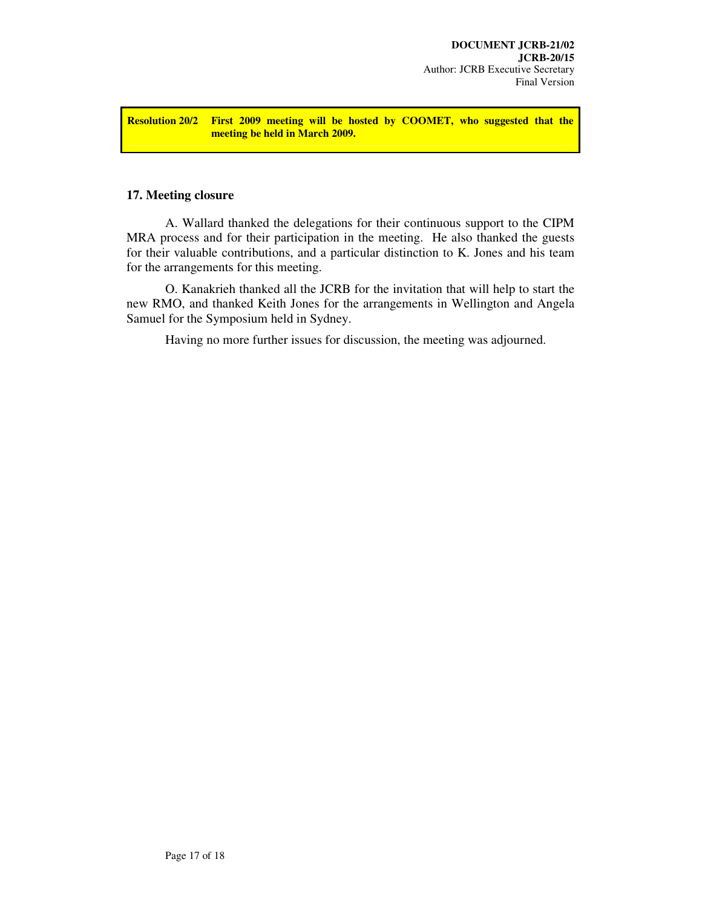**Resolution 20/2 First 2009 meeting will be hosted by COOMET, who suggested that the meeting be held in March 2009.** 

# **17. Meeting closure**

A. Wallard thanked the delegations for their continuous support to the CIPM MRA process and for their participation in the meeting. He also thanked the guests for their valuable contributions, and a particular distinction to K. Jones and his team for the arrangements for this meeting.

O. Kanakrieh thanked all the JCRB for the invitation that will help to start the new RMO, and thanked Keith Jones for the arrangements in Wellington and Angela Samuel for the Symposium held in Sydney.

Having no more further issues for discussion, the meeting was adjourned.